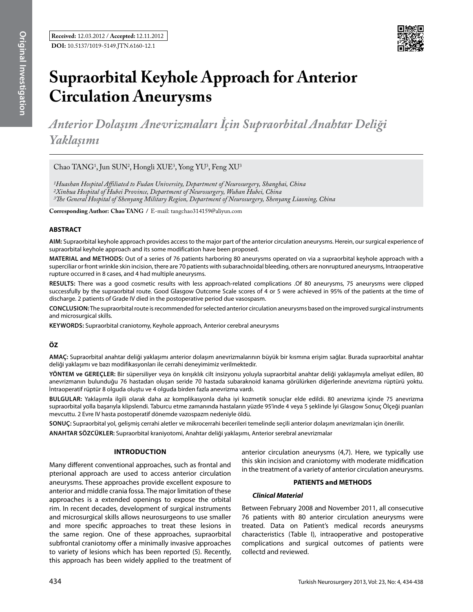

# **Supraorbital Keyhole Approach for Anterior Circulation Aneurysms**

*Anterior Dolaşım Anevrizmaları İçin Supraorbital Anahtar Deliği Yaklaşımı* 

Chao TANG<sup>1</sup>, Jun SUN<sup>2</sup>, Hongli XUE<sup>3</sup>, Yong YU<sup>3</sup>, Feng XU<sup>3</sup>

*1Huashan Hospital Affiliated to Fudan University, Department of Neurosurgery, Shanghai, China 2Xinhua Hospital of Hubei Province, Department of Neurosurgery, Wuhan Hubei, China 3The General Hospital of Shenyang Military Region, Department of Neurosurgery, Shenyang Liaoning, China*

**Corresponding Author: Chao TANG /** E-mail: tangchao314159@aliyun.com

# **ABSTRACT**

**AIm:** Supraorbital keyhole approach provides access to the major part of the anterior circulation aneurysms. Herein, our surgical experience of supraorbital keyhole approach and its some modification have been proposed.

**MaterIal and Methods:** Out of a series of 76 patients harboring 80 aneurysms operated on via a supraorbital keyhole approach with a superciliar or front wrinkle skin incision, there are 70 patients with subarachnoidal bleeding, others are nonruptured aneurysms, Intraoperative rupture occurred in 8 cases, and 4 had multiple aneurysms.

**Results:** There was a good cosmetic results with less approach-related complications .Of 80 aneurysms, 75 aneurysms were clipped successfully by the supraorbital route. Good Glasgow Outcome Scale scores of 4 or 5 were achieved in 95% of the patients at the time of discharge. 2 patients of Grade IV died in the postoperative period due vasospasm.

**ConclusIon:** The supraorbital route is recommended for selected anterior circulation aneurysms based on the improved surgical instruments and microsurgical skills.

**Keywords:** Supraorbital craniotomy, Keyhole approach, Anterior cerebral aneurysms

# **ÖZ**

**AMAÇ:** Supraorbital anahtar deliği yaklaşımı anterior dolaşım anevrizmalarının büyük bir kısmına erişim sağlar. Burada supraorbital anahtar deliği yaklaşımı ve bazı modifikasyonları ile cerrahi deneyimimiz verilmektedir.

**YÖNTEM ve GEREÇLER:** Bir süpersiliyer veya ön kırışıklık cilt insizyonu yoluyla supraorbital anahtar deliği yaklaşımıyla ameliyat edilen, 80 anevrizmanın bulunduğu 76 hastadan oluşan seride 70 hastada subaraknoid kanama görülürken diğerlerinde anevrizma rüptürü yoktu. İntraoperatif rüptür 8 olguda oluştu ve 4 olguda birden fazla anevrizma vardı.

**BULGULAR:** Yaklaşımla ilgili olarak daha az komplikasyonla daha iyi kozmetik sonuçlar elde edildi. 80 anevrizma içinde 75 anevrizma supraorbital yolla başarıyla klipslendi. Taburcu etme zamanında hastaların yüzde 95'inde 4 veya 5 şeklinde İyi Glasgow Sonuç Ölçeği puanları mevcuttu. 2 Evre IV hasta postoperatif dönemde vazospazm nedeniyle öldü.

**SONUÇ:** Supraorbital yol, gelişmiş cerrahi aletler ve mikrocerrahi becerileri temelinde seçili anterior dolaşım anevrizmaları için önerilir.

**ANAHTAR SÖZCÜKLER:** Supraorbital kraniyotomi, Anahtar deliği yaklaşımı, Anterior serebral anevrizmalar

#### **Introduction**

Many different conventional approaches, such as frontal and pterional approach are used to access anterior circulation aneurysms. These approaches provide excellent exposure to anterior and middle crania fossa. The major limitation of these approaches is a extended openings to expose the orbital rim. In recent decades, development of surgical instruments and microsurgical skills allows neurosurgeons to use smaller and more specific approaches to treat these lesions in the same region. One of these approaches, supraorbital subfrontal craniotomy offer a minimally invasive approaches to variety of lesions which has been reported (5). Recently, this approach has been widely applied to the treatment of anterior circulation aneurysms (4,7). Here, we typically use this skin incision and craniotomy with moderate midification in the treatment of a variety of anterior circulation aneurysms.

## **PATIENTS and METHODS**

#### *Clinical Material*

Between February 2008 and November 2011, all consecutive 76 patients with 80 anterior circulation aneurysms were treated. Data on Patient's medical records aneurysms characteristics (Table I), intraoperative and postoperative complications and surgical outcomes of patients were collectd and reviewed.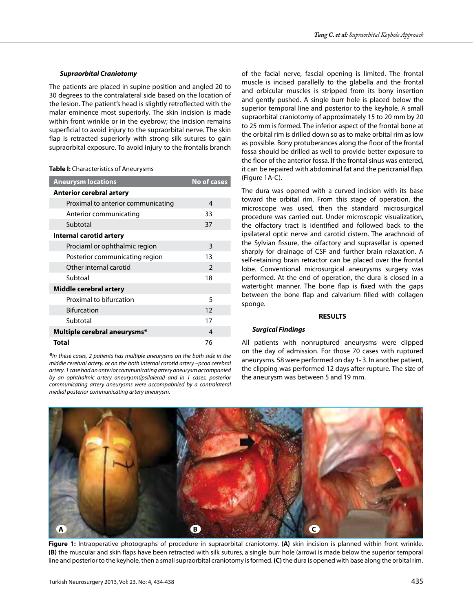## *Supraorbital Craniotomy*

The patients are placed in supine position and angled 20 to 30 degrees to the contralateral side based on the location of the lesion. The patient's head is slightly retroflected with the malar eminence most superiorly. The skin incision is made within front wrinkle or in the eyebrow; the incision remains superficial to avoid injury to the supraorbital nerve. The skin flap is retracted superiorly with strong silk sutures to gain supraorbital exposure. To avoid injury to the frontalis branch

#### **Table I:** Characteristics of Aneurysms

| <b>Aneurysm locations</b>          | <b>No of cases</b> |
|------------------------------------|--------------------|
| <b>Anterior cerebral artery</b>    |                    |
| Proximal to anterior communicating | 4                  |
| Anterior communicating             | 33                 |
| Subtotal                           | 37                 |
| Internal carotid artery            |                    |
| Prociaml or ophthalmic region      | 3                  |
| Posterior communicating region     | 13                 |
| Other internal carotid             | $\mathcal{P}$      |
| Subtoal                            | 18                 |
| Middle cerebral artery             |                    |
| Proximal to bifurcation            | 5                  |
| <b>Bifurcation</b>                 | 12                 |
| Subtotal                           | 17                 |
| Multiple cerebral aneurysms*       | 4                  |
| <b>Total</b>                       | 76                 |

*\*In these cases, 2 patients has multiple aneurysms on the both side in the middle cerebral artery. or on the both internal carotid artery –pcoa cerebral artery .1 case had an anterior communicating artery aneurysm accompanied by an ophthalmic artery aneurysm(ipsilaleral) and in 1 cases, posterior communicating artery aneurysms were accompabnied by a contralateral medial posterior communicating artery aneurysm.*

of the facial nerve, fascial opening is limited. The frontal muscle is incised parallelly to the glabella and the frontal and orbicular muscles is stripped from its bony insertion and gently pushed. A single burr hole is placed below the superior temporal line and posterior to the keyhole. A small supraorbital craniotomy of approximately 15 to 20 mm by 20 to 25 mm is formed. The inferior aspect of the frontal bone at the orbital rim is drilled down so as to make orbital rim as low as possible. Bony protuberances along the floor of the frontal fossa should be drilled as well to provide better exposure to the floor of the anterior fossa. If the frontal sinus was entered, it can be repaired with abdominal fat and the pericranial flap. (Figure 1A-C).

The dura was opened with a curved incision with its base toward the orbital rim. From this stage of operation, the microscope was used, then the standard microsurgical procedure was carried out. Under microscopic visualization, the olfactory tract is identified and followed back to the ipsilateral optic nerve and carotid cistern. The arachnoid of the Sylvian fissure, the olfactory and suprasellar is opened sharply for drainage of CSF and further brain relaxation. A self-retaining brain retractor can be placed over the frontal lobe. Conventional microsurgical aneurysms surgery was performed. At the end of operation, the dura is closed in a watertight manner. The bone flap is fixed with the gaps between the bone flap and calvarium filled with collagen sponge.

# **RESULTS**

# *Surgical Findings*

All patients with nonruptured aneurysms were clipped on the day of admission. For those 70 cases with ruptured aneurysms. 58 were performed on day 1- 3. In another patient, the clipping was performed 12 days after rupture. The size of the aneurysm was between 5 and 19 mm.



**Figure 1:** Intraoperative photographs of procedure in supraorbital craniotomy. **(A)** skin incision is planned within front wrinkle. **(B)** the muscular and skin flaps have been retracted with silk sutures, a single burr hole (arrow) is made below the superior temporal line and posterior to the keyhole, then a small supraorbital craniotomy is formed. **(C)** the dura is opened with base along the orbital rim.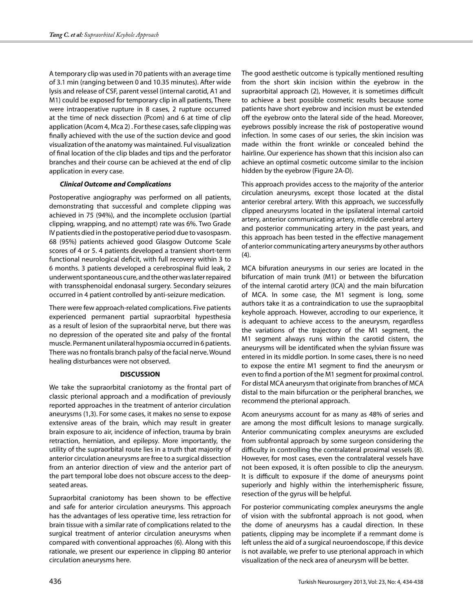A temporary clip was used in 70 patients with an average time of 3.1 min (ranging between 0 and 10.35 minutes). After wide lysis and release of CSF, parent vessel (internal carotid, A1 and M1) could be exposed for temporary clip in all patients, There were intraoperative rupture in 8 cases, 2 rupture occurred at the time of neck dissection (Pcom) and 6 at time of clip application (Acom 4, Mca 2) . For these cases, safe clipping was finally achieved with the use of the suction device and good visualization of the anatomy was maintained. Ful visualization of final location of the clip blades and tips and the perforator branches and their course can be achieved at the end of clip application in every case.

# *Clinical Outcome and Complications*

Postoperative angiography was performed on all patients, demonstrating that successful and complete clipping was achieved in 75 (94%), and the incomplete occlusion (partial clipping, wrapping, and no attempt) rate was 6%. Two Grade IV patients died in the postoperative period due to vasospasm. 68 (95%) patients achieved good Glasgow Outcome Scale scores of 4 or 5. 4 patients developed a transient short-term functional neurological deficit, with full recovery within 3 to 6 months. 3 patients developed a cerebrospinal fluid leak, 2 underwent spontaneous cure, and the other was later repaired with transsphenoidal endonasal surgery. Secondary seizures occurred in 4 patient controlled by anti-seizure medication.

There were few approach-related complications. Five patients experienced permanent partial supraorbital hypesthesia as a result of lesion of the supraorbital nerve, but there was no depression of the operated site and palsy of the frontal muscle. Permanent unilateral hyposmia occurred in 6 patients. There was no frontalis branch palsy of the facial nerve. Wound healing disturbances were not observed.

#### **DISCUSSION**

We take the supraorbital craniotomy as the frontal part of classic pterional approach and a modification of previously reported approaches in the treatment of anterior circulation aneurysms (1,3). For some cases, it makes no sense to expose extensive areas of the brain, which may result in greater brain exposure to air, incidence of infection, trauma by brain retraction, herniation, and epilepsy. More importantly, the utility of the supraorbital route lies in a truth that majority of anterior circulation aneurysms are free to a surgical dissection from an anterior direction of view and the anterior part of the part temporal lobe does not obscure access to the deepseated areas.

Supraorbital craniotomy has been shown to be effective and safe for anterior circulation aneurysms. This approach has the advantages of less operative time, less retraction for brain tissue with a similar rate of complications related to the surgical treatment of anterior circulation aneurysms when compared with conventional approaches (6). Along with this rationale, we present our experience in clipping 80 anterior circulation aneurysms here.

The good aesthetic outcome is typically mentioned resulting from the short skin incision within the eyebrow in the supraorbital approach (2), However, it is sometimes difficult to achieve a best possible cosmetic results because some patients have short eyebrow and incision must be extended off the eyebrow onto the lateral side of the head. Moreover, eyebrows possibly increase the risk of postoperative wound infection. In some cases of our series, the skin incision was made within the front wrinkle or concealed behind the hairline. Our experience has shown that this incision also can achieve an optimal cosmetic outcome similar to the incision hidden by the eyebrow (Figure 2A-D).

This approach provides access to the majority of the anterior circulation aneurysms, except those located at the distal anterior cerebral artery. With this approach, we successfully clipped aneurysms located in the ipsilateral internal cartoid artery, anterior communicating artery, middle cerebral artery and posterior communicating artery in the past years, and this approach has been tested in the effective management of anterior communicating artery aneurysms by other authors  $(4).$ 

MCA bifuration aneurysms in our series are located in the bifurcation of main trunk (M1) or between the bifurcation of the internal carotid artery (ICA) and the main bifurcation of MCA. In some case, the M1 segment is long, some authors take it as a contraindication to use the supraopbital keyhole approach. However, accroding to our experience, it is adequant to achieve access to the aneurysm, regardless the variations of the trajectory of the M1 segment, the M1 segment always runs within the carotid cistern, the aneurysms will be identificated when the sylvian fissure was entered in its middle portion. In some cases, there is no need to expose the entire M1 segment to find the aneurysm or even to find a portion of the M1 segment for proximal control. For distal MCA aneurysm that originate from branches of MCA distal to the main bifurcation or the peripheral branches, we recommend the pterional approach.

Acom aneurysms account for as many as 48% of series and are among the most difficult lesions to manage surgically. Anterior communicating complex aneurysms are excluded from subfrontal approach by some surgeon considering the difficulty in controlling the contralateral proximal vessels (8). However, for most cases, even the contralateral vessels have not been exposed, it is often possible to clip the aneurysm. It is difficult to exposure if the dome of aneurysms point superiorly and highly within the interhemispheric fissure, resection of the gyrus will be helpful.

For posterior communicating complex aneurysms the angle of vision with the subfrontal approach is not good, when the dome of aneurysms has a caudal direction. In these patients, clipping may be incomplete if a remmant dome is left unless the aid of a surgical neuroendoscope, if this device is not available, we prefer to use pterional approach in which visualization of the neck area of aneurysm will be better.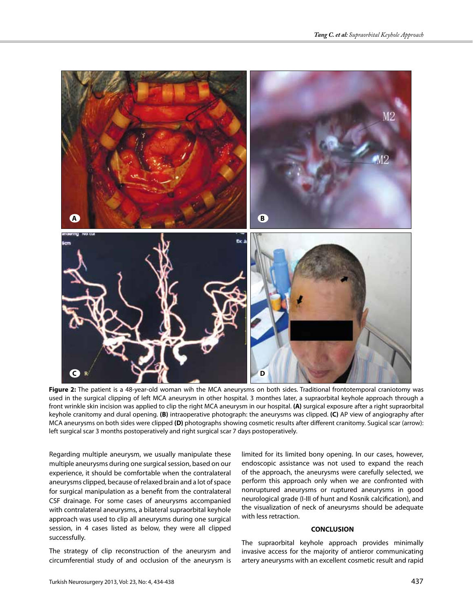

**Figure 2:** The patient is a 48-year-old woman wih the MCA aneurysms on both sides. Traditional frontotemporal craniotomy was used in the surgical clipping of left MCA aneurysm in other hospital. 3 monthes later, a supraorbital keyhole approach through a front wrinkle skin incision was applied to clip the right MCA aneurysm in our hospital. **(A)** surgical exposure after a right supraorbital keyhole cranitomy and dural opening. **(B)** intraoperative photograph: the aneurysms was clipped. **(C)** AP view of angiography after MCA aneurysms on both sides were clipped **(D)** photographs showing cosmetic results after different cranitomy. Sugical scar (arrow): left surgical scar 3 months postoperatively and right surgical scar 7 days postoperatively.

Regarding multiple aneurysm, we usually manipulate these multiple aneurysms during one surgical session, based on our experience, it should be comfortable when the contralateral aneurysms clipped, because of relaxed brain and a lot of space for surgical manipulation as a benefit from the contralateral CSF drainage. For some cases of aneurysms accompanied with contralateral aneurysms, a bilateral supraorbital keyhole approach was used to clip all aneurysms during one surgical session, in 4 cases listed as below, they were all clipped successfully.

The strategy of clip reconstruction of the aneurysm and circumferential study of and occlusion of the aneurysm is limited for its limited bony opening. In our cases, however, endoscopic assistance was not used to expand the reach of the approach, the aneurysms were carefully selected, we perform this approach only when we are confronted with nonruptured aneurysms or ruptured aneurysms in good neurological grade (I-III of hunt and Kosnik calcification), and the visualization of neck of aneurysms should be adequate with less retraction.

#### **CONCLUSION**

The supraorbital keyhole approach provides minimally invasive access for the majority of antieror communicating artery aneurysms with an excellent cosmetic result and rapid